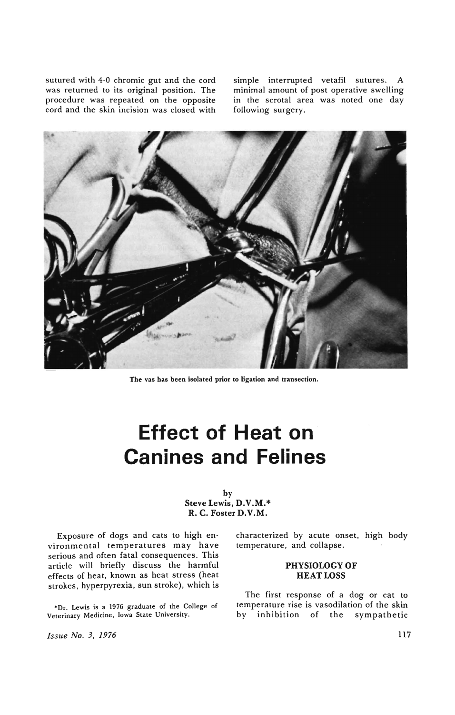sutured with 4-0 chromic gut and the cord was returned to its original position. The procedure was repeated on the opposite cord and the skin incision was closed with

simple interrupted vetafil sutures. A minimal amount of post operative swelling in the scrotal area was noted one day following surgery.



The vas has been isolated prior to ligation and transection.

# **Effect of Heat on Canines and Felines**

## by Steve Lewis, D.V.M.\* R. C. Foster D.V.M.

Exposure of dogs and cats to high en· vironmental temperatures may have serious and often fatal consequences. This article will briefly discuss the harmful effects of heat, known as heat stress (heat strokes, hyperpyrexia, sun stroke), which is

\*Dr. Lewis is a 1976 graduate of the College of Veterinary Medicine, Iowa State University.

*Issue No. 3, 1976* 

characterized by acute onset, high body temperature, and collapse .

# **PHYSIOLOGY OF**  HEAT LOSS

The first response of a dog or cat to temperature rise is vasodilation of the skin by inhibition of the sympathetic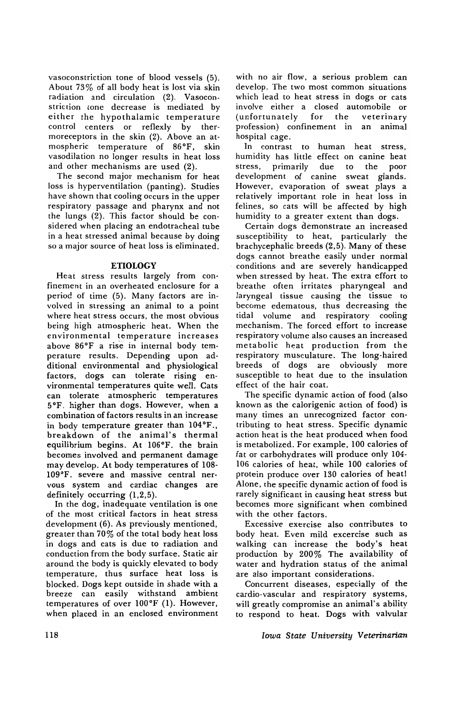vasoconstriction tone of blood vessels (5). About 73% of all body heat is lost via skin radiation and circulation (2). Vasoconstriction tone decrease is mediated by either the hypothalamic temperature control centers or reflexly by thermoreceptors in the skin (2). Above an atmospheric temperature of 86°F, skin vasodilation no longer results in heat loss and other mechanisms are used (2).

The second major mechanism for heat loss is hyperventilation (panting). Studies have shown that cooling occurs in the upper respiratory passage and pharynx and not the lungs (2). This factor should be considered when placing an endotracheal tube in a heat stressed animal because by doing so a major source of heat loss is eliminated.

## **ETIOLOGY**

Heat stress results largely from confinement in an overheated enclosure for a period of time (5). Many factors are involved in stressing an animal to a point where heat stress occurs, the most obvious being high atmospheric heat. When the environmental temperature increases above 86°F a rise in internal body temperature results. Depending upon additional environmental and physiological factors, dogs can tolerate rising environmental temperatures quite well. Cats can tolerate atmospheric temperatures 5°F, higher than dogs. However, when a combination of factors results in an increase in body temperature greater than 104°F., breakdown of the animal's thermal equilibrium begins. At 106°F. the brain becomes involved and permanent damage may develop. At body temperatures of 108- 109°F. severe and massive central nervous system and cardiac changes are definitely occurring (1,2,5).

In the dog, inadequate ventilation is one of the most critical factors in heat stress development (6). As previously mentioned, greater than 70% of the total body heat loss in dogs and cats is due to radiation and conduction from the body surface. Static air around the body is quickly elevated to body temperature, thus surface heat loss is blocked. Dogs kept outside in shade with a breeze can easily withstand ambient temperatures of over 100°F (1). However, when placed in an enclosed environment

with no air flow, a serious problem can develop. The two most common situations which lead to heat stress in dogs or cats involve either a closed automobile or (unfortunately for the veterinary profession) confinement in an animal hospital cage.

In contrast to human heat stress, humidity has little effect on canine heat stress, primarily due to the poor development of canine sweat glands. However, evaporation of sweat plays a relatively important role in heat loss in felines, so cats will be affected by high humidity to a greater extent than dogs.

Certain dogs demonstrate an increased susceptibility to heat, particularly the brachycephalic breeds (2,5). Many of these dogs cannot breathe easily under normal conditions and are severely handicapped when stressed by heat. The extra effort to breathe often irritates pharyngeal and laryngeal tissue causing the tissue to become edematous, thus decreasing the tidal volume and respiratory cooling mechanism. The forced effort to increase respiratory volume also causes an increased metabolic heat production from the respiratory musculature. The long-haired breeds of dogs are obviously more susceptible to heat due to the insulation effect of the hair coat.

The specific dynamic action of food (also known as the calorigenic action of food) is many times an unrecognized factor contributing to heat stress. Specific dynamic action heat is the heat produced when food is metabolized. For example, 100 calories of fat or carbohydrates will produce only 104- 106 calories of heat, while 100 calories of protein produce over 130 calories of heat! Alone, the specific dynamic action of food is rarely significant in causing heat stress but becomes more significant when combined with the other factors.

Excessive exercise also contributes to body heat. Even mild excercise such as walking can increase the body's heat production by 200% The availability of water and hydration status of the animal are also important considerations.

Concurrent diseases, especially of the cardio-vascular and respiratory systems, will greatly compromise an animal's ability to respond to heat. Dogs with valvular

*Iowa State University Veterinarian*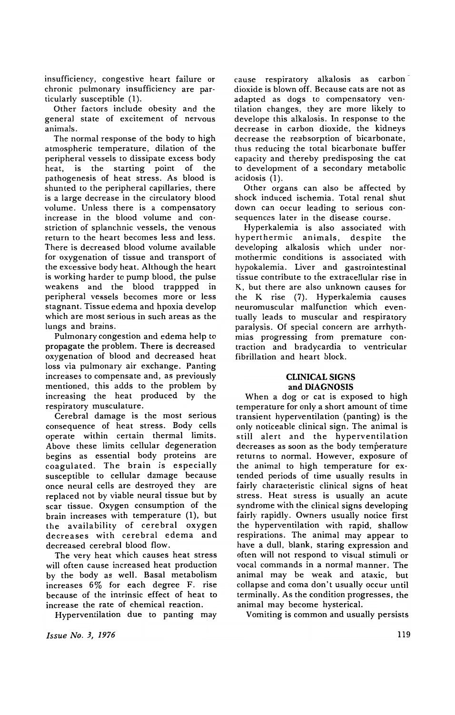insufficiency. congestive heart failure or chronic pulmonary insufficiency are particularly susceptible (I).

Other factors include obesity and the general state of excitement of nervous animals.

The normal response of the body to high atmospheric temperature. dilation of the peripheral vessels to dissipate excess body heat. is the starting point of the pathogenesis of heat stress. As blood is shunted to the peripheral capillaries. there is a large decrease in the circulatory blood volume. Unless there is a compensatory increase in the blood volume and constriction of splanchnic vessels. the venous return to the heart becomes less and less. There is decreased blood volume available for oxygenation of tissue and transport of the excessive body heat. Although the heart is working harder to pump blood, the pulse weakens and the blood trappped in peripheral vessels becomes more or less stagnant. Tissue edema and hpoxia develop which are most serious in such areas as the lungs and brains.

Pulmonary congestion and edema help to propagate the problem. There is decreased oxygenation of blood and decreased heat loss via pulmonary air exchange. Panting increases to compensate and. as previously mentioned, this adds to the problem by increasing the heat produced by the respiratory musculature.

Cerebral damage is the most serious consequence of heat stress. Body cells operate within certain thermal limits. Above these limits cellular degeneration begins as essential body proteins are coagulated. The brain is especially susceptible to cellular damage because once neural cells are destroyed they are replaced not by viable neural tissue but by scar tissue. Oxygen consumption of the brain increases with temperature (I), but the availability of cerebral oxygen decreases with cerebral edema and decreased cerebral blood flow.

The very heat which causes heat stress will often cause increased heat production by the body as well. Basal metabolism increases 6% for each degree F. rise because of the intrinsic effect of heat to increase the rate of chemical reaction.

Hyperventilation due to panting may

*Issue No.3, 1976* 

cause respiratory alkalosis as carbon dioxide is blown off. Because cats are not as adapted as dogs to compensatory ventilation changes, they are more likely to develope this alkalosis. In response to the decrease in carbon dioxide. the kidneys decrease the reabsorption of bicarbonate. thus reducing the total bicarbonate buffer capacity and thereby predisposing the cat to development of a secondary metabolic acidosis (I).

Other organs can also be affected by shock induced ischemia. Total renal shut down can occur leading to serious consequences later in the disease course.

Hyperkalemia is also associated with hyperthermic animals, despite the developing alkalosis which under normothermic conditions is associated with hypokalemia. Liver and gastrointestinal tissue contribute to the extracellular rise in K. but there are also unknown causes for the K rise (7). Hyperkalemia causes neuromuscular malfunction which eventually leads to muscular and respiratory paralysis. Of special concern are arrhythmias progressing from premature contraction and bradycardia to ventricular fibrillation and heart block.

## **CLINICAL SIGNS**  and **DIAGNOSIS**

When a dog or cat is exposed to high temperature for only a short amount of time transient hyperventilation (panting) is the only noticeable clinical sign. The animal is still alert and the hyperventilation decreases as soon as the body temperature returns to normal. However, exposure of the animal to high temperature for extended periods of time usually results in fairly characteristic clinical signs of heat stress. Heat stress is usually an acute syndrome with the clinical signs developing fairly rapidly. Owners usually notice first the hyperventilation with rapid. shallow respirations. The animal may appear to have a dull. blank, staring expression and often will not respond to visual stimuli or vocal commands in a normal manner. The animal may be weak and ataxic, but collapse and coma don't usually occur until terminally. As the condition progresses, the animal may become hysterical.

Vomiting is common and usually persists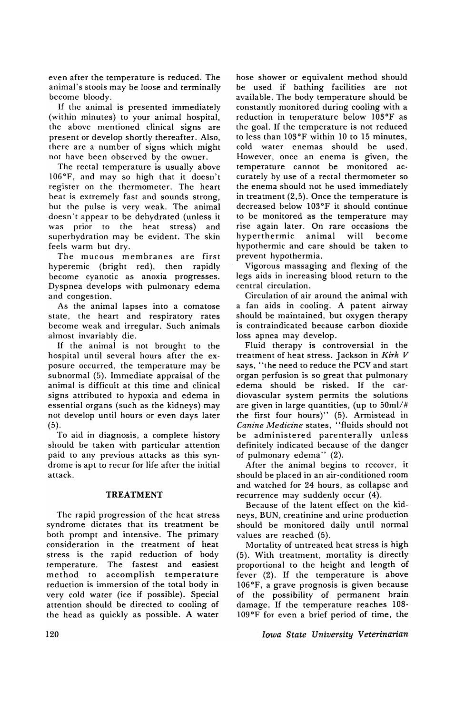even after the temperature is reduced. The animal's stools may be loose and terminally become bloody.

If the animal is presented immediately (within minutes) to your animal hospital, the above mentioned clinical signs are present or develop shortly thereafter. Also, there are a number of signs which might not have been observed by the owner.

The rectal temperature is usually above 106°F, and may so high that it doesn't register on the thermometer. The heart beat is extremely fast and sounds strong, but the pulse is very weak. The animal doesn't appear to be dehydrated (unless it was prior to the heat stress) and superhydration may be evident. The skin feels warm but dry.

The mucous membranes are first hyperemic (bright red), then rapidly become cyanotic as anoxia progresses. Dyspnea develops with pulmonary edema and congestion.

As the animal lapses into a comatose state, the heart and respiratory rates become weak and irregular. Such animals almost invariably die.

If the animal is not brought to the hospital until several hours after the exposure occurred, the temperature may be subnormal (5). Immediate appraisal of the animal is difficult at this time and clinical signs attributed to hypoxia and edema in essential organs (such as the kidneys) may not develop until hours or even days later (5).

To aid in diagnosis, a complete history should be taken with particular attention paid to any previous attacks as this syndrome is apt to recur for life after the initial attack.

## TREATMENT

The rapid progression of the heat stress syndrome dictates that its treatment be both prompt and intensive. The primary consideration in the treatment of heat stress is the rapid reduction of body temperature. The fastest and easiest method to accomplish temperature reduction is immersion of the total body in very cold water (ice if possible). Special attention should be directed to cooling of the head as quickly as possible. A water

hose shower or equivalent method should be used if bathing facilities are not available. The body temperature should be constantly monitored during cooling with a reduction in temperature below 103°F as the goal. If the temperature is not reduced to less than 103°F within 10 to 15 minutes, cold water enemas should be used. However, once an enema is given, the temperature cannot be monitored accurately by use of a rectal thermometer so the enema should not be used immediately in treatment (2,5). Once the temperature is decreased below 103°F it should continue to be monitored as the temperature may rise again later. On rare occasions the hyperthermic animal will become hypothermic and care should be taken to prevent hypothermia.

Vigorous massaging and flexing of the legs aids in increasing blood return to the central circulation.

Circulation of air around the animal with a fan aids in cooling. A patent airway should be maintained, but oxygen therapy is contraindicated because carbon dioxide loss apnea may develop.

Fluid therapy is controversial in the treatment of heat stress. Jackson in *Kirk V*  says, "the need to reduce the PCV and start organ perfusion is so great that pulmonary edema should be risked. If the cardiovascular system permits the solutions are given in large quantities, (up to 50ml/# the first four hours)" (5). Armistead in *Canine Medicine* states, "fluids should not be administered parenterally unless definitely indicated because of the danger of pulmonary edema" (2).

After the animal begins to recover, it should be placed in an air-conditioned room and watched for 24 hours, as collapse and recurrence may suddenly occur (4).

Because of the latent effect on the kidneys, BUN, creatinine and urine production should be monitored daily until normal values are reached (5).

Mortality of untreated heat stress is high (5). With treatment, mortality is directly proportional to the height and length of fever (2). If the temperature is above 106°F, a grave prognosis is given because of the possibility of permanent brain damage. If the temperature reaches 108· 109°F for even a brief period of time, the

*Iowa State University Veterinarian*